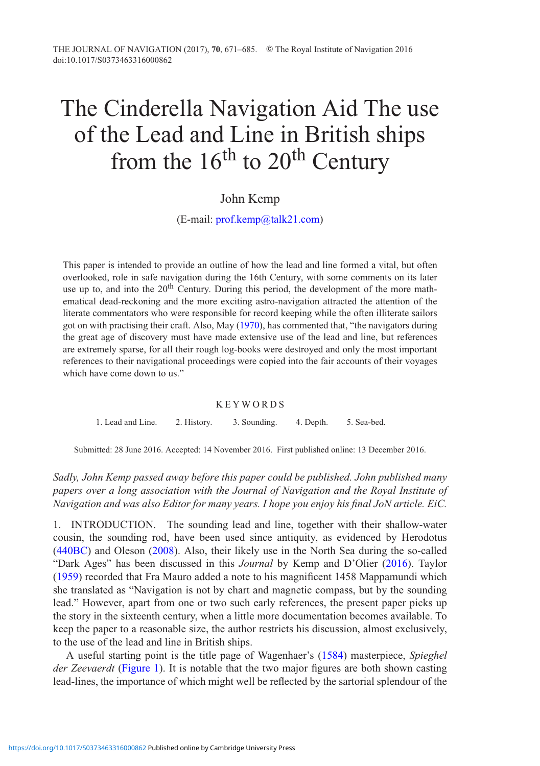# The Cinderella Navigation Aid The use of the Lead and Line in British ships from the  $16<sup>th</sup>$  to  $20<sup>th</sup>$  Century

# John Kemp

(E-mail: [prof.kemp@talk21.com\)](mailto:prof.kemp@talk21.com)

This paper is intended to provide an outline of how the lead and line formed a vital, but often overlooked, role in safe navigation during the 16th Century, with some comments on its later use up to, and into the  $20<sup>th</sup>$  Century. During this period, the development of the more mathematical dead-reckoning and the more exciting astro-navigation attracted the attention of the literate commentators who were responsible for record keeping while the often illiterate sailors got on with practising their craft. Also, May [\(1970\)](#page-14-0), has commented that, "the navigators during the great age of discovery must have made extensive use of the lead and line, but references are extremely sparse, for all their rough log-books were destroyed and only the most important references to their navigational proceedings were copied into the fair accounts of their voyages which have come down to us."

#### KEYWORDS

1. Lead and Line. 2. History. 3. Sounding. 4. Depth. 5. Sea-bed.

Submitted: 28 June 2016. Accepted: 14 November 2016. First published online: 13 December 2016.

*Sadly, John Kemp passed away before this paper could be published. John published many papers over a long association with the Journal of Navigation and the Royal Institute of Navigation and was also Editor for many years. I hope you enjoy his final JoN article. EiC.*

1. INTRODUCTION. The sounding lead and line, together with their shallow-water cousin, the sounding rod, have been used since antiquity, as evidenced by Herodotus [\(440BC](#page-13-0)) and Oleson [\(2008](#page-14-1)). Also, their likely use in the North Sea during the so-called "Dark Ages" has been discussed in this *Journal* by Kemp and D'Olier [\(2016](#page-14-2)). Taylor [\(1959\)](#page-14-3) recorded that Fra Mauro added a note to his magnificent 1458 Mappamundi which she translated as "Navigation is not by chart and magnetic compass, but by the sounding lead." However, apart from one or two such early references, the present paper picks up the story in the sixteenth century, when a little more documentation becomes available. To keep the paper to a reasonable size, the author restricts his discussion, almost exclusively, to the use of the lead and line in British ships.

A useful starting point is the title page of Wagenhaer's [\(1584\)](#page-14-4) masterpiece, *Spieghel der Zeevaerdt* [\(Figure 1\)](#page-1-0). It is notable that the two major figures are both shown casting lead-lines, the importance of which might well be reflected by the sartorial splendour of the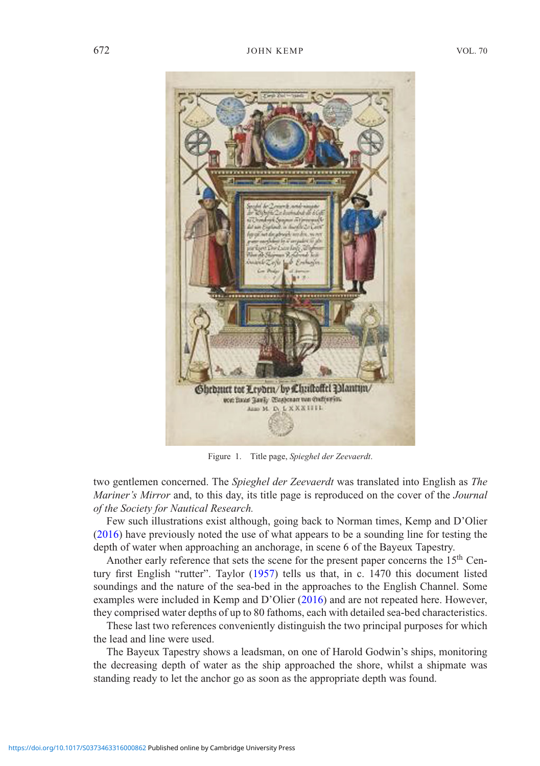<span id="page-1-0"></span>

Figure 1. Title page, *Spieghel der Zeevaerdt*.

two gentlemen concerned. The *Spieghel der Zeevaerdt* was translated into English as *The Mariner's Mirror* and, to this day, its title page is reproduced on the cover of the *Journal of the Society for Nautical Research.*

Few such illustrations exist although, going back to Norman times, Kemp and D'Olier [\(2016\)](#page-14-2) have previously noted the use of what appears to be a sounding line for testing the depth of water when approaching an anchorage, in scene 6 of the Bayeux Tapestry.

Another early reference that sets the scene for the present paper concerns the 15<sup>th</sup> Century first English "rutter". Taylor [\(1957\)](#page-14-5) tells us that, in c. 1470 this document listed soundings and the nature of the sea-bed in the approaches to the English Channel. Some examples were included in Kemp and D'Olier [\(2016](#page-14-2)) and are not repeated here. However, they comprised water depths of up to 80 fathoms, each with detailed sea-bed characteristics.

These last two references conveniently distinguish the two principal purposes for which the lead and line were used.

The Bayeux Tapestry shows a leadsman, on one of Harold Godwin's ships, monitoring the decreasing depth of water as the ship approached the shore, whilst a shipmate was standing ready to let the anchor go as soon as the appropriate depth was found.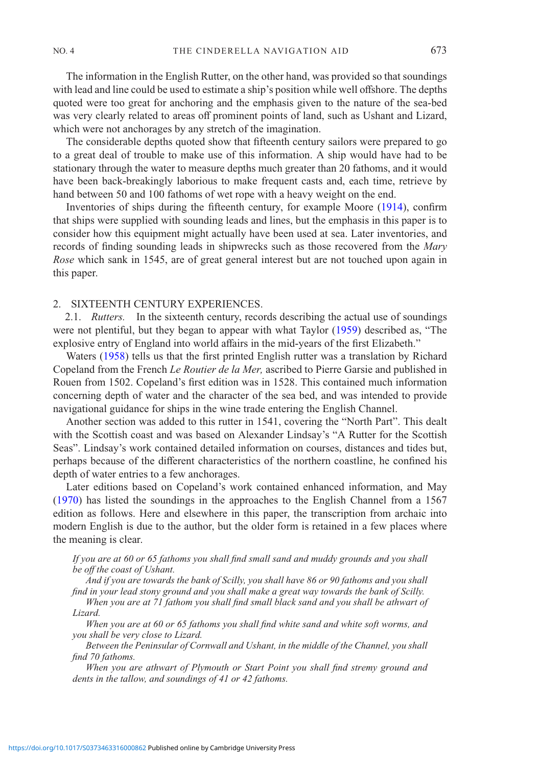The information in the English Rutter, on the other hand, was provided so that soundings with lead and line could be used to estimate a ship's position while well offshore. The depths quoted were too great for anchoring and the emphasis given to the nature of the sea-bed was very clearly related to areas off prominent points of land, such as Ushant and Lizard, which were not anchorages by any stretch of the imagination.

The considerable depths quoted show that fifteenth century sailors were prepared to go to a great deal of trouble to make use of this information. A ship would have had to be stationary through the water to measure depths much greater than 20 fathoms, and it would have been back-breakingly laborious to make frequent casts and, each time, retrieve by hand between 50 and 100 fathoms of wet rope with a heavy weight on the end.

Inventories of ships during the fifteenth century, for example Moore [\(1914](#page-14-6)), confirm that ships were supplied with sounding leads and lines, but the emphasis in this paper is to consider how this equipment might actually have been used at sea. Later inventories, and records of finding sounding leads in shipwrecks such as those recovered from the *Mary Rose* which sank in 1545, are of great general interest but are not touched upon again in this paper.

## 2. SIXTEENTH CENTURY EXPERIENCES.

2.1. *Rutters.* In the sixteenth century, records describing the actual use of soundings were not plentiful, but they began to appear with what Taylor [\(1959\)](#page-14-3) described as, "The explosive entry of England into world affairs in the mid-years of the first Elizabeth."

Waters [\(1958](#page-14-7)) tells us that the first printed English rutter was a translation by Richard Copeland from the French *Le Routier de la Mer,* ascribed to Pierre Garsie and published in Rouen from 1502. Copeland's first edition was in 1528. This contained much information concerning depth of water and the character of the sea bed, and was intended to provide navigational guidance for ships in the wine trade entering the English Channel.

Another section was added to this rutter in 1541, covering the "North Part". This dealt with the Scottish coast and was based on Alexander Lindsay's "A Rutter for the Scottish Seas". Lindsay's work contained detailed information on courses, distances and tides but, perhaps because of the different characteristics of the northern coastline, he confined his depth of water entries to a few anchorages.

Later editions based on Copeland's work contained enhanced information, and May [\(1970\)](#page-14-0) has listed the soundings in the approaches to the English Channel from a 1567 edition as follows. Here and elsewhere in this paper, the transcription from archaic into modern English is due to the author, but the older form is retained in a few places where the meaning is clear.

### *If you are at 60 or 65 fathoms you shall find small sand and muddy grounds and you shall be off the coast of Ushant.*

*And if you are towards the bank of Scilly, you shall have 86 or 90 fathoms and you shall find in your lead stony ground and you shall make a great way towards the bank of Scilly.*

*When you are at 71 fathom you shall find small black sand and you shall be athwart of Lizard.*

*When you are at 60 or 65 fathoms you shall find white sand and white soft worms, and you shall be very close to Lizard.*

*Between the Peninsular of Cornwall and Ushant, in the middle of the Channel, you shall find 70 fathoms.*

*When you are athwart of Plymouth or Start Point you shall find stremy ground and dents in the tallow, and soundings of 41 or 42 fathoms.*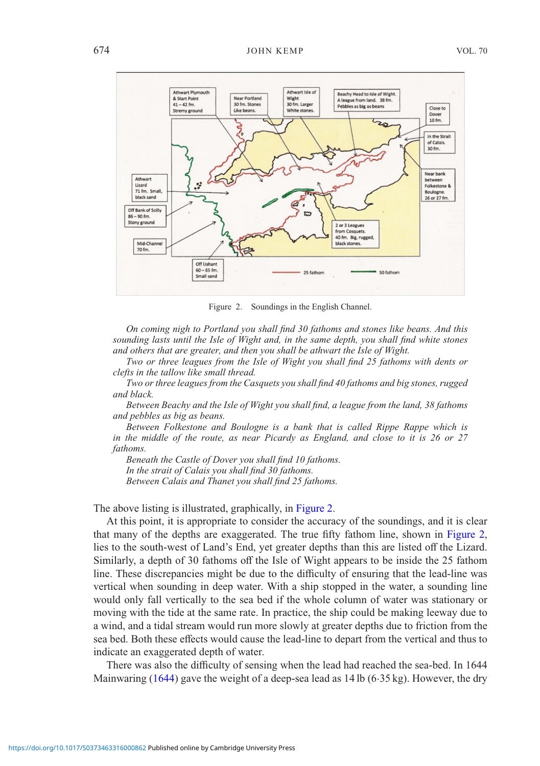<span id="page-3-0"></span>

Figure 2. Soundings in the English Channel.

*On coming nigh to Portland you shall find 30 fathoms and stones like beans. And this sounding lasts until the Isle of Wight and, in the same depth, you shall find white stones and others that are greater, and then you shall be athwart the Isle of Wight.*

*Two or three leagues from the Isle of Wight you shall find 25 fathoms with dents or clefts in the tallow like small thread.*

*Two or three leagues from the Casquets you shall find 40 fathoms and big stones, rugged and black.*

*Between Beachy and the Isle of Wight you shall find, a league from the land, 38 fathoms and pebbles as big as beans.*

*Between Folkestone and Boulogne is a bank that is called Rippe Rappe which is in the middle of the route, as near Picardy as England, and close to it is 26 or 27 fathoms.*

*Beneath the Castle of Dover you shall find 10 fathoms. In the strait of Calais you shall find 30 fathoms. Between Calais and Thanet you shall find 25 fathoms.*

The above listing is illustrated, graphically, in [Figure 2.](#page-3-0)

At this point, it is appropriate to consider the accuracy of the soundings, and it is clear that many of the depths are exaggerated. The true fifty fathom line, shown in [Figure 2,](#page-3-0) lies to the south-west of Land's End, yet greater depths than this are listed off the Lizard. Similarly, a depth of 30 fathoms off the Isle of Wight appears to be inside the 25 fathom line. These discrepancies might be due to the difficulty of ensuring that the lead-line was vertical when sounding in deep water. With a ship stopped in the water, a sounding line would only fall vertically to the sea bed if the whole column of water was stationary or moving with the tide at the same rate. In practice, the ship could be making leeway due to a wind, and a tidal stream would run more slowly at greater depths due to friction from the sea bed. Both these effects would cause the lead-line to depart from the vertical and thus to indicate an exaggerated depth of water.

There was also the difficulty of sensing when the lead had reached the sea-bed. In 1644 Mainwaring  $(1644)$  gave the weight of a deep-sea lead as  $14 lb (6.35 kg)$ . However, the dry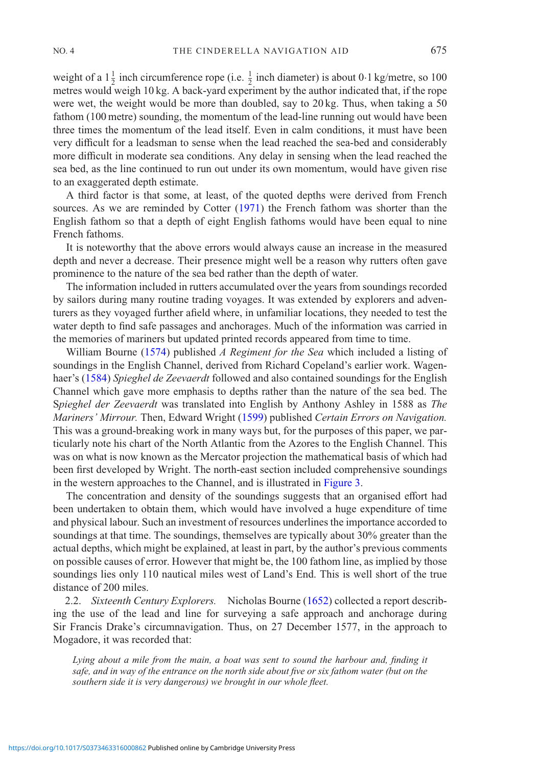weight of a  $1\frac{1}{2}$  inch circumference rope (i.e.  $\frac{1}{2}$  inch diameter) is about 0·1 kg/metre, so 100 metres would weigh 10 kg. A back-yard experiment by the author indicated that, if the rope were wet, the weight would be more than doubled, say to 20 kg. Thus, when taking a 50 fathom (100 metre) sounding, the momentum of the lead-line running out would have been three times the momentum of the lead itself. Even in calm conditions, it must have been very difficult for a leadsman to sense when the lead reached the sea-bed and considerably more difficult in moderate sea conditions. Any delay in sensing when the lead reached the sea bed, as the line continued to run out under its own momentum, would have given rise to an exaggerated depth estimate.

A third factor is that some, at least, of the quoted depths were derived from French sources. As we are reminded by Cotter [\(1971\)](#page-13-1) the French fathom was shorter than the English fathom so that a depth of eight English fathoms would have been equal to nine French fathoms.

It is noteworthy that the above errors would always cause an increase in the measured depth and never a decrease. Their presence might well be a reason why rutters often gave prominence to the nature of the sea bed rather than the depth of water.

The information included in rutters accumulated over the years from soundings recorded by sailors during many routine trading voyages. It was extended by explorers and adventurers as they voyaged further afield where, in unfamiliar locations, they needed to test the water depth to find safe passages and anchorages. Much of the information was carried in the memories of mariners but updated printed records appeared from time to time.

William Bourne [\(1574\)](#page-13-2) published *A Regiment for the Sea* which included a listing of soundings in the English Channel, derived from Richard Copeland's earlier work. Wagenhaer's [\(1584\)](#page-14-4) *Spieghel de Zeevaerdt* followed and also contained soundings for the English Channel which gave more emphasis to depths rather than the nature of the sea bed. The S*pieghel der Zeevaerdt* was translated into English by Anthony Ashley in 1588 as *The Mariners' Mirrour.* Then, Edward Wright [\(1599\)](#page-14-9) published *Certain Errors on Navigation.* This was a ground-breaking work in many ways but, for the purposes of this paper, we particularly note his chart of the North Atlantic from the Azores to the English Channel. This was on what is now known as the Mercator projection the mathematical basis of which had been first developed by Wright. The north-east section included comprehensive soundings in the western approaches to the Channel, and is illustrated in [Figure 3.](#page-5-0)

The concentration and density of the soundings suggests that an organised effort had been undertaken to obtain them, which would have involved a huge expenditure of time and physical labour. Such an investment of resources underlines the importance accorded to soundings at that time. The soundings, themselves are typically about 30% greater than the actual depths, which might be explained, at least in part, by the author's previous comments on possible causes of error. However that might be, the 100 fathom line, as implied by those soundings lies only 110 nautical miles west of Land's End. This is well short of the true distance of 200 miles.

2.2. *Sixteenth Century Explorers.* Nicholas Bourne [\(1652](#page-13-3)) collected a report describing the use of the lead and line for surveying a safe approach and anchorage during Sir Francis Drake's circumnavigation. Thus, on 27 December 1577, in the approach to Mogadore, it was recorded that:

*Lying about a mile from the main, a boat was sent to sound the harbour and, finding it safe, and in way of the entrance on the north side about five or six fathom water (but on the southern side it is very dangerous) we brought in our whole fleet.*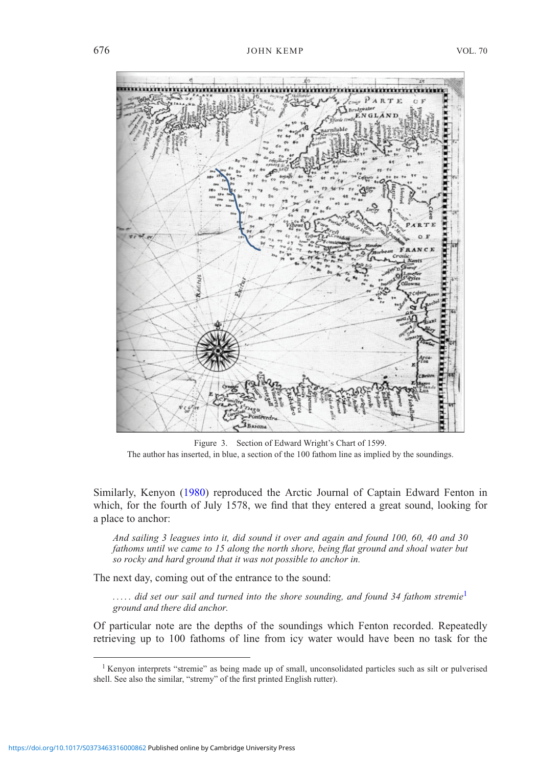<span id="page-5-0"></span>

Figure 3. Section of Edward Wright's Chart of 1599. The author has inserted, in blue, a section of the 100 fathom line as implied by the soundings.

Similarly, Kenyon [\(1980\)](#page-14-10) reproduced the Arctic Journal of Captain Edward Fenton in which, for the fourth of July 1578, we find that they entered a great sound, looking for a place to anchor:

*And sailing 3 leagues into it, did sound it over and again and found 100, 60, 40 and 30 fathoms until we came to 15 along the north shore, being flat ground and shoal water but so rocky and hard ground that it was not possible to anchor in.*

The next day, coming out of the entrance to the sound:

*. . . . . did set our sail and turned into the shore sounding, and found 34 fathom stremie*[1](#page-5-1) *ground and there did anchor.*

Of particular note are the depths of the soundings which Fenton recorded. Repeatedly retrieving up to 100 fathoms of line from icy water would have been no task for the

<span id="page-5-1"></span><sup>&</sup>lt;sup>1</sup> Kenyon interprets "stremie" as being made up of small, unconsolidated particles such as silt or pulverised shell. See also the similar, "stremy" of the first printed English rutter).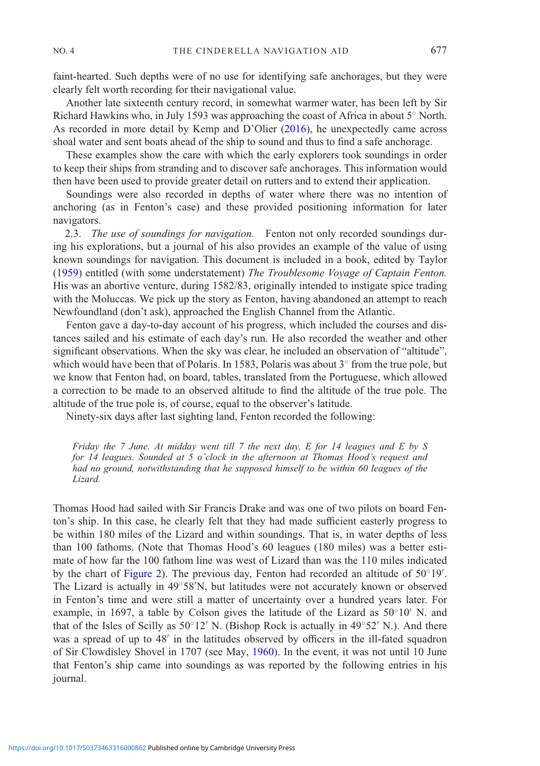faint-hearted. Such depths were of no use for identifying safe anchorages, but they were clearly felt worth recording for their navigational value.

Another late sixteenth century record, in somewhat warmer water, has been left by Sir Richard Hawkins who, in July 1593 was approaching the coast of Africa in about 5◦ North. As recorded in more detail by Kemp and D'Olier [\(2016\)](#page-14-2), he unexpectedly came across shoal water and sent boats ahead of the ship to sound and thus to find a safe anchorage.

These examples show the care with which the early explorers took soundings in order to keep their ships from stranding and to discover safe anchorages. This information would then have been used to provide greater detail on rutters and to extend their application.

Soundings were also recorded in depths of water where there was no intention of anchoring (as in Fenton's case) and these provided positioning information for later navigators.

2.3. *The use of soundings for navigation.* Fenton not only recorded soundings during his explorations, but a journal of his also provides an example of the value of using known soundings for navigation. This document is included in a book, edited by Taylor [\(1959\)](#page-14-3) entitled (with some understatement) *The Troublesome Voyage of Captain Fenton.* His was an abortive venture, during 1582/83, originally intended to instigate spice trading with the Moluccas. We pick up the story as Fenton, having abandoned an attempt to reach Newfoundland (don't ask), approached the English Channel from the Atlantic.

Fenton gave a day-to-day account of his progress, which included the courses and distances sailed and his estimate of each day's run. He also recorded the weather and other significant observations. When the sky was clear, he included an observation of "altitude", which would have been that of Polaris. In 1583, Polaris was about 3<sup>○</sup> from the true pole, but we know that Fenton had, on board, tables, translated from the Portuguese, which allowed a correction to be made to an observed altitude to find the altitude of the true pole. The altitude of the true pole is, of course, equal to the observer's latitude.

Ninety-six days after last sighting land, Fenton recorded the following:

*Friday the 7 June. At midday went till 7 the next day, E for 14 leagues and E by S for 14 leagues. Sounded at 5 o'clock in the afternoon at Thomas Hood's request and had no ground, notwithstanding that he supposed himself to be within 60 leagues of the Lizard.*

Thomas Hood had sailed with Sir Francis Drake and was one of two pilots on board Fenton's ship. In this case, he clearly felt that they had made sufficient easterly progress to be within 180 miles of the Lizard and within soundings. That is, in water depths of less than 100 fathoms. (Note that Thomas Hood's 60 leagues (180 miles) was a better estimate of how far the 100 fathom line was west of Lizard than was the 110 miles indicated by the chart of [Figure 2\)](#page-3-0). The previous day, Fenton had recorded an altitude of 50°19'. The Lizard is actually in 49◦58 N, but latitudes were not accurately known or observed in Fenton's time and were still a matter of uncertainty over a hundred years later. For example, in 1697, a table by Colson gives the latitude of the Lizard as  $50°10'$  N. and that of the Isles of Scilly as  $50°12'$  N. (Bishop Rock is actually in  $49°52'$  N.). And there was a spread of up to 48' in the latitudes observed by officers in the ill-fated squadron of Sir Clowdisley Shovel in 1707 (see May, [1960](#page-14-11)). In the event, it was not until 10 June that Fenton's ship came into soundings as was reported by the following entries in his journal.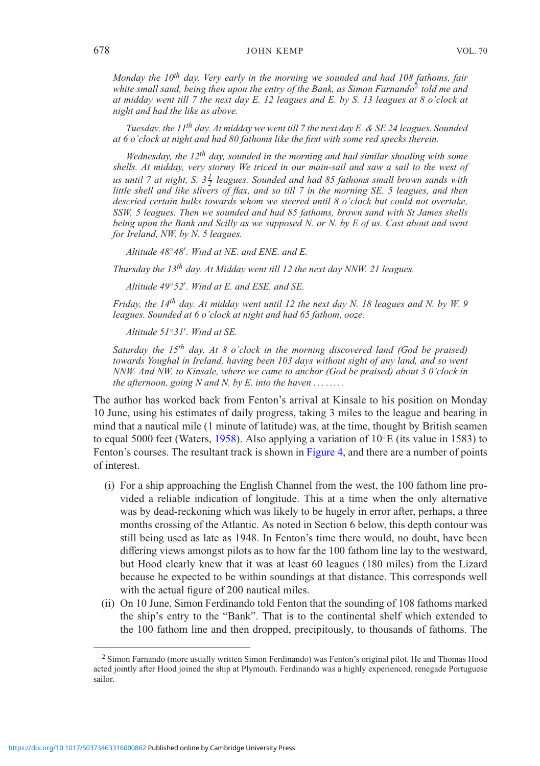### 678 JOHN KEMP VOL. 70

*Monday the 10th day. Very early in the morning we sounded and had 108 fathoms, fair* white small sand, being then upon the entry of the Bank, as Simon Farnando<sup>[2](#page-7-0)</sup> told me and *at midday went till 7 the next day E. 12 leagues and E. by S. 13 leagues at 8 o'clock at night and had the like as above.*

*Tuesday, the 11th day. At midday we went till 7 the next day E. & SE 24 leagues. Sounded at 6 o'clock at night and had 80 fathoms like the first with some red specks therein.*

*Wednesday, the 12th day, sounded in the morning and had similar shoaling with some shells. At midday, very stormy We triced in our main-sail and saw a sail to the west of us until 7 at night, S. 3 <sup>1</sup> <sup>2</sup> leagues. Sounded and had 85 fathoms small brown sands with little shell and like slivers of flax, and so till 7 in the morning SE. 5 leagues, and then descried certain hulks towards whom we steered until 8 o'clock but could not overtake, SSW, 5 leagues. Then we sounded and had 85 fathoms, brown sand with St James shells being upon the Bank and Scilly as we supposed N. or N. by E of us. Cast about and went for Ireland, NW. by N. 5 leagues.*

*Altitude 48*◦*48 . Wind at NE. and ENE. and E.*

*Thursday the 13th day. At Midday went till 12 the next day NNW. 21 leagues.*

*Altitude 49*◦*52 . Wind at E. and ESE. and SE.*

*Friday, the 14th day. At midday went until 12 the next day N. 18 leagues and N. by W. 9 leagues. Sounded at 6 o'clock at night and had 65 fathom, ooze.*

*Altitude 51*◦*31 . Wind at SE.*

*Saturday the 15th day. At 8 o'clock in the morning discovered land (God be praised) towards Youghal in Ireland, having been 103 days without sight of any land, and so went NNW. And NW. to Kinsale, where we came to anchor (God be praised) about 3 0'clock in the afternoon, going N and N. by E. into the haven . . . .....*

The author has worked back from Fenton's arrival at Kinsale to his position on Monday 10 June, using his estimates of daily progress, taking 3 miles to the league and bearing in mind that a nautical mile (1 minute of latitude) was, at the time, thought by British seamen to equal 5000 feet (Waters, [1958\)](#page-14-7). Also applying a variation of  $10°E$  (its value in 1583) to Fenton's courses. The resultant track is shown in [Figure 4,](#page-8-0) and there are a number of points of interest.

- (i) For a ship approaching the English Channel from the west, the 100 fathom line provided a reliable indication of longitude. This at a time when the only alternative was by dead-reckoning which was likely to be hugely in error after, perhaps, a three months crossing of the Atlantic. As noted in Section 6 below, this depth contour was still being used as late as 1948. In Fenton's time there would, no doubt, have been differing views amongst pilots as to how far the 100 fathom line lay to the westward, but Hood clearly knew that it was at least 60 leagues (180 miles) from the Lizard because he expected to be within soundings at that distance. This corresponds well with the actual figure of 200 nautical miles.
- (ii) On 10 June, Simon Ferdinando told Fenton that the sounding of 108 fathoms marked the ship's entry to the "Bank". That is to the continental shelf which extended to the 100 fathom line and then dropped, precipitously, to thousands of fathoms. The

<span id="page-7-0"></span><sup>2</sup> Simon Farnando (more usually written Simon Ferdinando) was Fenton's original pilot. He and Thomas Hood acted jointly after Hood joined the ship at Plymouth. Ferdinando was a highly experienced, renegade Portuguese sailor.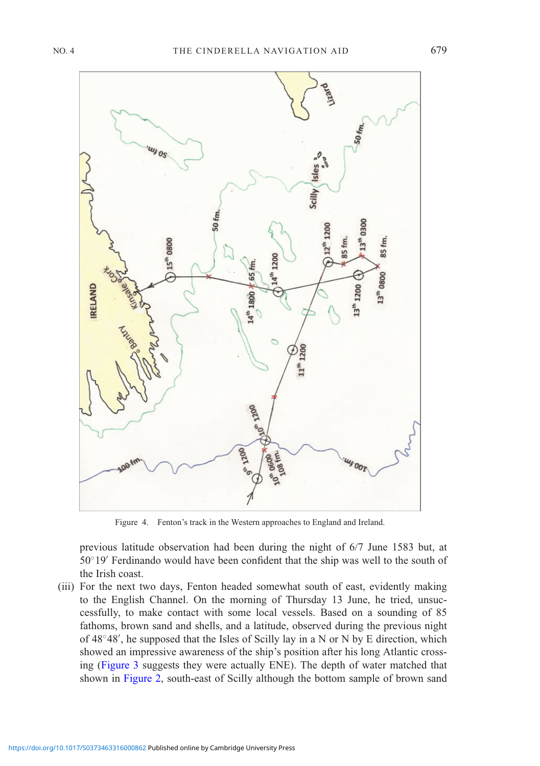<span id="page-8-0"></span>

Figure 4. Fenton's track in the Western approaches to England and Ireland.

previous latitude observation had been during the night of 6/7 June 1583 but, at 50◦19 Ferdinando would have been confident that the ship was well to the south of the Irish coast.

(iii) For the next two days, Fenton headed somewhat south of east, evidently making to the English Channel. On the morning of Thursday 13 June, he tried, unsuccessfully, to make contact with some local vessels. Based on a sounding of 85 fathoms, brown sand and shells, and a latitude, observed during the previous night of 48◦48 , he supposed that the Isles of Scilly lay in a N or N by E direction, which showed an impressive awareness of the ship's position after his long Atlantic crossing [\(Figure 3](#page-5-0) suggests they were actually ENE). The depth of water matched that shown in [Figure 2,](#page-3-0) south-east of Scilly although the bottom sample of brown sand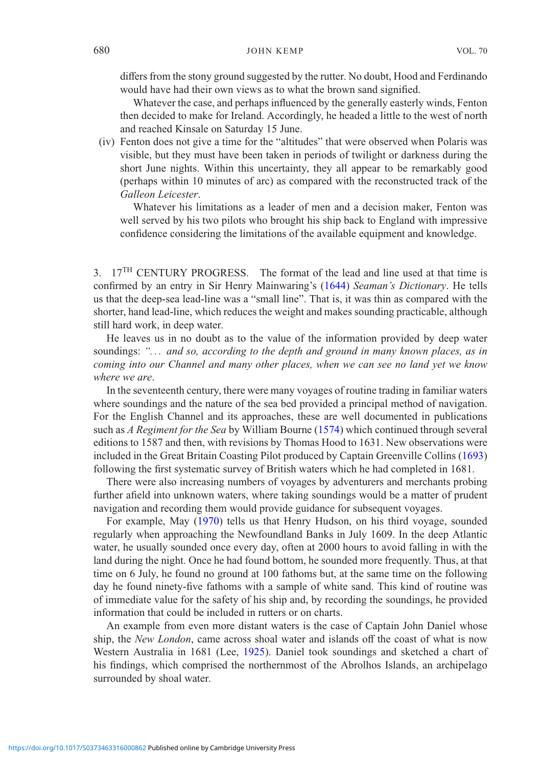differs from the stony ground suggested by the rutter. No doubt, Hood and Ferdinando would have had their own views as to what the brown sand signified.

Whatever the case, and perhaps influenced by the generally easterly winds, Fenton then decided to make for Ireland. Accordingly, he headed a little to the west of north and reached Kinsale on Saturday 15 June.

(iv) Fenton does not give a time for the "altitudes" that were observed when Polaris was visible, but they must have been taken in periods of twilight or darkness during the short June nights. Within this uncertainty, they all appear to be remarkably good (perhaps within 10 minutes of arc) as compared with the reconstructed track of the *Galleon Leicester*.

Whatever his limitations as a leader of men and a decision maker, Fenton was well served by his two pilots who brought his ship back to England with impressive confidence considering the limitations of the available equipment and knowledge.

3. 17<sup>TH</sup> CENTURY PROGRESS. The format of the lead and line used at that time is confirmed by an entry in Sir Henry Mainwaring's [\(1644](#page-14-8)) *Seaman's Dictionary*. He tells us that the deep-sea lead-line was a "small line". That is, it was thin as compared with the shorter, hand lead-line, which reduces the weight and makes sounding practicable, although still hard work, in deep water.

He leaves us in no doubt as to the value of the information provided by deep water soundings: *". . . and so, according to the depth and ground in many known places, as in coming into our Channel and many other places, when we can see no land yet we know where we are*.

In the seventeenth century, there were many voyages of routine trading in familiar waters where soundings and the nature of the sea bed provided a principal method of navigation. For the English Channel and its approaches, these are well documented in publications such as *A Regiment for the Sea* by William Bourne [\(1574](#page-13-2)) which continued through several editions to 1587 and then, with revisions by Thomas Hood to 1631. New observations were included in the Great Britain Coasting Pilot produced by Captain Greenville Collins [\(1693\)](#page-13-4) following the first systematic survey of British waters which he had completed in 1681.

There were also increasing numbers of voyages by adventurers and merchants probing further afield into unknown waters, where taking soundings would be a matter of prudent navigation and recording them would provide guidance for subsequent voyages.

For example, May [\(1970](#page-14-0)) tells us that Henry Hudson, on his third voyage, sounded regularly when approaching the Newfoundland Banks in July 1609. In the deep Atlantic water, he usually sounded once every day, often at 2000 hours to avoid falling in with the land during the night. Once he had found bottom, he sounded more frequently. Thus, at that time on 6 July, he found no ground at 100 fathoms but, at the same time on the following day he found ninety-five fathoms with a sample of white sand. This kind of routine was of immediate value for the safety of his ship and, by recording the soundings, he provided information that could be included in rutters or on charts.

An example from even more distant waters is the case of Captain John Daniel whose ship, the *New London*, came across shoal water and islands off the coast of what is now Western Australia in 1681 (Lee, [1925](#page-14-12)). Daniel took soundings and sketched a chart of his findings, which comprised the northernmost of the Abrolhos Islands, an archipelago surrounded by shoal water.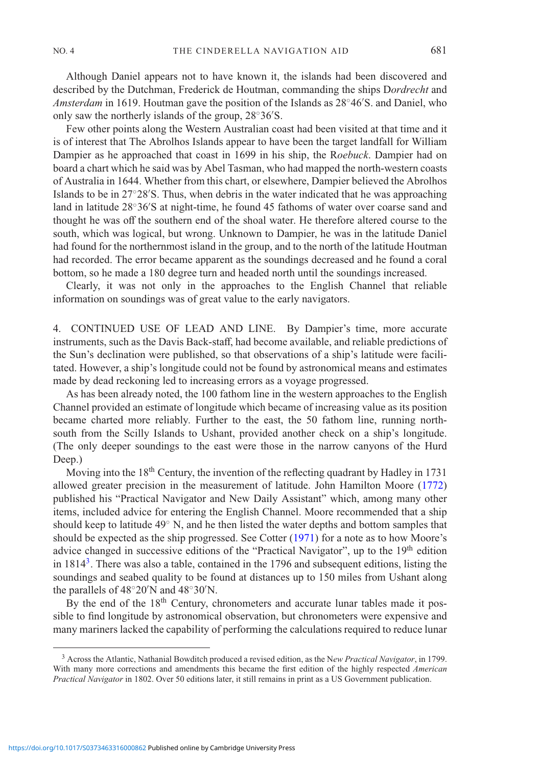Although Daniel appears not to have known it, the islands had been discovered and described by the Dutchman, Frederick de Houtman, commanding the ships D*ordrecht* and *Amsterdam* in 1619. Houtman gave the position of the Islands as 28◦46 S. and Daniel, who only saw the northerly islands of the group, 28◦36 S.

Few other points along the Western Australian coast had been visited at that time and it is of interest that The Abrolhos Islands appear to have been the target landfall for William Dampier as he approached that coast in 1699 in his ship, the R*oebuck*. Dampier had on board a chart which he said was by Abel Tasman, who had mapped the north-western coasts of Australia in 1644. Whether from this chart, or elsewhere, Dampier believed the Abrolhos Islands to be in 27◦28 S. Thus, when debris in the water indicated that he was approaching land in latitude 28◦36 S at night-time, he found 45 fathoms of water over coarse sand and thought he was off the southern end of the shoal water. He therefore altered course to the south, which was logical, but wrong. Unknown to Dampier, he was in the latitude Daniel had found for the northernmost island in the group, and to the north of the latitude Houtman had recorded. The error became apparent as the soundings decreased and he found a coral bottom, so he made a 180 degree turn and headed north until the soundings increased.

Clearly, it was not only in the approaches to the English Channel that reliable information on soundings was of great value to the early navigators.

4. CONTINUED USE OF LEAD AND LINE. By Dampier's time, more accurate instruments, such as the Davis Back-staff, had become available, and reliable predictions of the Sun's declination were published, so that observations of a ship's latitude were facilitated. However, a ship's longitude could not be found by astronomical means and estimates made by dead reckoning led to increasing errors as a voyage progressed.

As has been already noted, the 100 fathom line in the western approaches to the English Channel provided an estimate of longitude which became of increasing value as its position became charted more reliably. Further to the east, the 50 fathom line, running northsouth from the Scilly Islands to Ushant, provided another check on a ship's longitude. (The only deeper soundings to the east were those in the narrow canyons of the Hurd Deep.)

Moving into the  $18<sup>th</sup>$  Century, the invention of the reflecting quadrant by Hadley in 1731 allowed greater precision in the measurement of latitude. John Hamilton Moore [\(1772](#page-14-13)) published his "Practical Navigator and New Daily Assistant" which, among many other items, included advice for entering the English Channel. Moore recommended that a ship should keep to latitude 49◦ N, and he then listed the water depths and bottom samples that should be expected as the ship progressed. See Cotter [\(1971\)](#page-13-1) for a note as to how Moore's advice changed in successive editions of the "Practical Navigator", up to the 19<sup>th</sup> edition in  $1814<sup>3</sup>$ . There was also a table, contained in the 1796 and subsequent editions, listing the soundings and seabed quality to be found at distances up to 150 miles from Ushant along the parallels of  $48^{\circ}20'N$  and  $48^{\circ}30'N$ .

By the end of the 18<sup>th</sup> Century, chronometers and accurate lunar tables made it possible to find longitude by astronomical observation, but chronometers were expensive and many mariners lacked the capability of performing the calculations required to reduce lunar

<span id="page-10-0"></span><sup>3</sup> Across the Atlantic, Nathanial Bowditch produced a revised edition, as the N*ew Practical Navigator*, in 1799. With many more corrections and amendments this became the first edition of the highly respected *American Practical Navigator* in 1802. Over 50 editions later, it still remains in print as a US Government publication.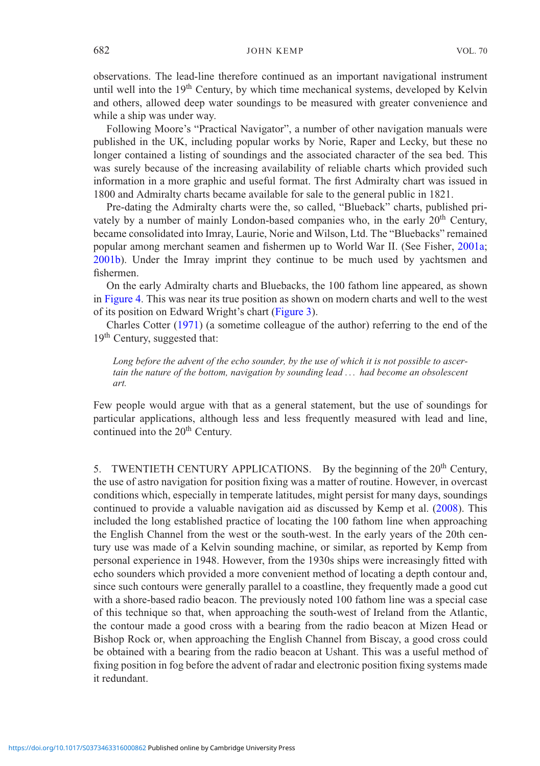### 682 JOHN KEMP VOL. 70

observations. The lead-line therefore continued as an important navigational instrument until well into the 19<sup>th</sup> Century, by which time mechanical systems, developed by Kelvin and others, allowed deep water soundings to be measured with greater convenience and while a ship was under way.

Following Moore's "Practical Navigator", a number of other navigation manuals were published in the UK, including popular works by Norie, Raper and Lecky, but these no longer contained a listing of soundings and the associated character of the sea bed. This was surely because of the increasing availability of reliable charts which provided such information in a more graphic and useful format. The first Admiralty chart was issued in 1800 and Admiralty charts became available for sale to the general public in 1821.

Pre-dating the Admiralty charts were the, so called, "Blueback" charts, published privately by a number of mainly London-based companies who, in the early 20<sup>th</sup> Century, became consolidated into Imray, Laurie, Norie and Wilson, Ltd. The "Bluebacks" remained popular among merchant seamen and fishermen up to World War II. (See Fisher, [2001a;](#page-13-5) [2001b](#page-13-6)). Under the Imray imprint they continue to be much used by yachtsmen and fishermen.

On the early Admiralty charts and Bluebacks, the 100 fathom line appeared, as shown in [Figure 4.](#page-8-0) This was near its true position as shown on modern charts and well to the west of its position on Edward Wright's chart [\(Figure 3\)](#page-5-0).

Charles Cotter [\(1971\)](#page-13-1) (a sometime colleague of the author) referring to the end of the 19<sup>th</sup> Century, suggested that:

*Long before the advent of the echo sounder, by the use of which it is not possible to ascertain the nature of the bottom, navigation by sounding lead . . . had become an obsolescent art.*

Few people would argue with that as a general statement, but the use of soundings for particular applications, although less and less frequently measured with lead and line, continued into the 20<sup>th</sup> Century.

5. TWENTIETH CENTURY APPLICATIONS. By the beginning of the 20<sup>th</sup> Century, the use of astro navigation for position fixing was a matter of routine. However, in overcast conditions which, especially in temperate latitudes, might persist for many days, soundings continued to provide a valuable navigation aid as discussed by Kemp et al. [\(2008\)](#page-13-7). This included the long established practice of locating the 100 fathom line when approaching the English Channel from the west or the south-west. In the early years of the 20th century use was made of a Kelvin sounding machine, or similar, as reported by Kemp from personal experience in 1948. However, from the 1930s ships were increasingly fitted with echo sounders which provided a more convenient method of locating a depth contour and, since such contours were generally parallel to a coastline, they frequently made a good cut with a shore-based radio beacon. The previously noted 100 fathom line was a special case of this technique so that, when approaching the south-west of Ireland from the Atlantic, the contour made a good cross with a bearing from the radio beacon at Mizen Head or Bishop Rock or, when approaching the English Channel from Biscay, a good cross could be obtained with a bearing from the radio beacon at Ushant. This was a useful method of fixing position in fog before the advent of radar and electronic position fixing systems made it redundant.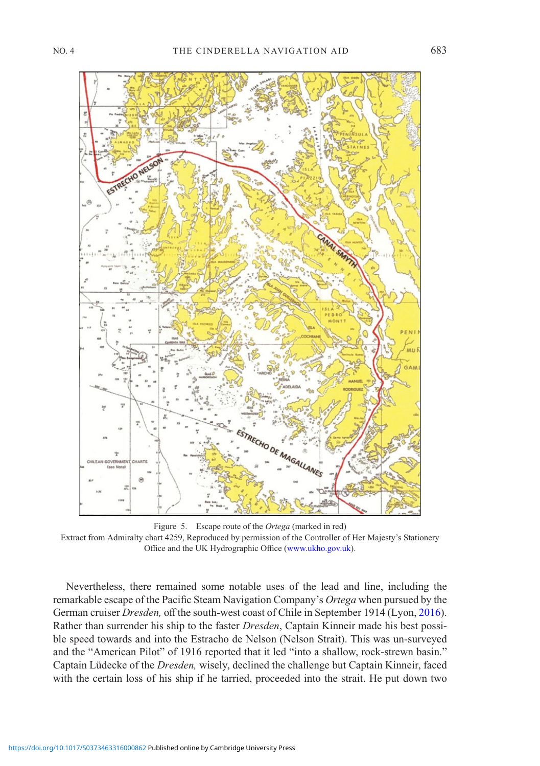<span id="page-12-0"></span>

Figure 5. Escape route of the *Ortega* (marked in red) Extract from Admiralty chart 4259, Reproduced by permission of the Controller of Her Majesty's Stationery Office and the UK Hydrographic Office [\(www.ukho.gov.uk\)](http://www.ukho.gov.uk).

Nevertheless, there remained some notable uses of the lead and line, including the remarkable escape of the Pacific Steam Navigation Company's *Ortega* when pursued by the German cruiser *Dresden,* off the south-west coast of Chile in September 1914 (Lyon, [2016\)](#page-14-14). Rather than surrender his ship to the faster *Dresden*, Captain Kinneir made his best possible speed towards and into the Estracho de Nelson (Nelson Strait). This was un-surveyed and the "American Pilot" of 1916 reported that it led "into a shallow, rock-strewn basin." Captain Lüdecke of the *Dresden,* wisely, declined the challenge but Captain Kinneir, faced with the certain loss of his ship if he tarried, proceeded into the strait. He put down two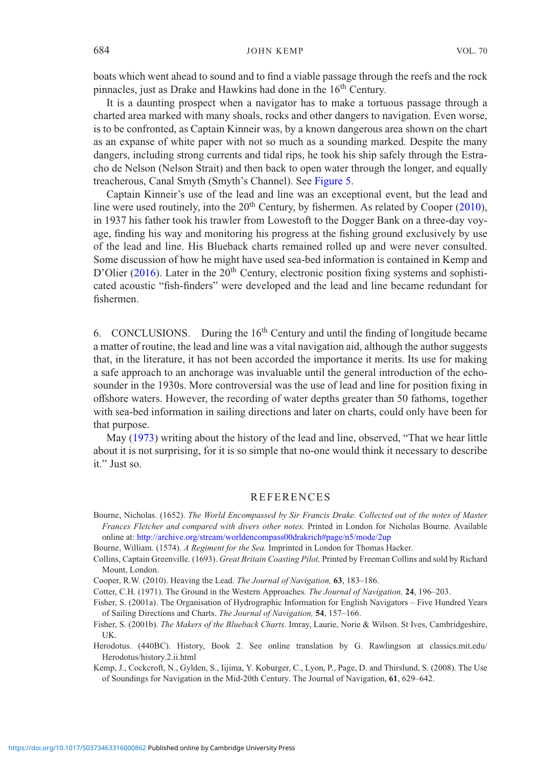boats which went ahead to sound and to find a viable passage through the reefs and the rock pinnacles, just as Drake and Hawkins had done in the 16<sup>th</sup> Century.

It is a daunting prospect when a navigator has to make a tortuous passage through a charted area marked with many shoals, rocks and other dangers to navigation. Even worse, is to be confronted, as Captain Kinneir was, by a known dangerous area shown on the chart as an expanse of white paper with not so much as a sounding marked. Despite the many dangers, including strong currents and tidal rips, he took his ship safely through the Estracho de Nelson (Nelson Strait) and then back to open water through the longer, and equally treacherous, Canal Smyth (Smyth's Channel). See [Figure 5.](#page-12-0)

Captain Kinneir's use of the lead and line was an exceptional event, but the lead and line were used routinely, into the  $20<sup>th</sup>$  Century, by fishermen. As related by Cooper [\(2010](#page-13-8)), in 1937 his father took his trawler from Lowestoft to the Dogger Bank on a three-day voyage, finding his way and monitoring his progress at the fishing ground exclusively by use of the lead and line. His Blueback charts remained rolled up and were never consulted. Some discussion of how he might have used sea-bed information is contained in Kemp and D'Olier [\(2016](#page-14-2)). Later in the  $20<sup>th</sup>$  Century, electronic position fixing systems and sophisticated acoustic "fish-finders" were developed and the lead and line became redundant for fishermen.

6. CONCLUSIONS. During the  $16<sup>th</sup>$  Century and until the finding of longitude became a matter of routine, the lead and line was a vital navigation aid, although the author suggests that, in the literature, it has not been accorded the importance it merits. Its use for making a safe approach to an anchorage was invaluable until the general introduction of the echosounder in the 1930s. More controversial was the use of lead and line for position fixing in offshore waters. However, the recording of water depths greater than 50 fathoms, together with sea-bed information in sailing directions and later on charts, could only have been for that purpose.

May [\(1973](#page-14-15)) writing about the history of the lead and line, observed, "That we hear little about it is not surprising, for it is so simple that no-one would think it necessary to describe it." Just so.

#### REFERENCES

- <span id="page-13-3"></span>Bourne, Nicholas. (1652). *The World Encompassed by Sir Francis Drake. Collected out of the notes of Master Frances Fletcher and compared with divers other notes.* Printed in London for Nicholas Bourne. Available online at: [http://archive.org/stream/worldencompass00drakrich#page/n5/mode/2up](http://archive.org/stream/worldencompass00drakrich{#}page/n5/mode/2up)
- <span id="page-13-2"></span>Bourne, William. (1574). *A Regiment for the Sea.* Imprinted in London for Thomas Hacker.
- <span id="page-13-4"></span>Collins, Captain Greenville. (1693). *Great Britain Coasting Pilot,* Printed by Freeman Collins and sold by Richard Mount, London.
- <span id="page-13-8"></span>Cooper, R.W. (2010). Heaving the Lead. *The Journal of Navigation,* **63**, 183–186.
- <span id="page-13-1"></span>Cotter, C.H. (1971). The Ground in the Western Approaches. *The Journal of Navigation,* **24**, 196–203.
- <span id="page-13-5"></span>Fisher, S. (2001a). The Organisation of Hydrographic Information for English Navigators – Five Hundred Years of Sailing Directions and Charts. *The Journal of Navigation,* **54**, 157–166.
- <span id="page-13-6"></span>Fisher, S. (2001b). *The Makers of the Blueback Charts.* Imray, Laurie, Norie & Wilson. St Ives, Cambridgeshire, UK.
- <span id="page-13-0"></span>Herodotus. (440BC). History, Book 2. See online translation by G. Rawlingson at classics.mit.edu/ Herodotus/history.2.ii.html

<span id="page-13-7"></span>Kemp, J., Cockcroft, N., Gylden, S., Iijima, Y. Koburger, C., Lyon, P., Page, D. and Thirslund, S. (2008). The Use of Soundings for Navigation in the Mid-20th Century. The Journal of Navigation, **61**, 629–642.